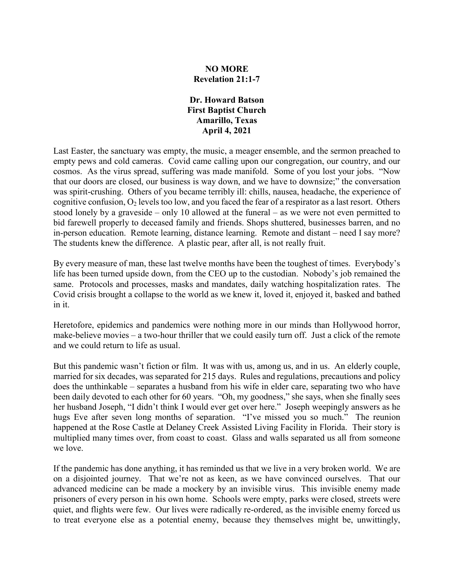# **NO MORE Revelation 21:1-7**

#### **Dr. Howard Batson First Baptist Church Amarillo, Texas April 4, 2021**

Last Easter, the sanctuary was empty, the music, a meager ensemble, and the sermon preached to empty pews and cold cameras. Covid came calling upon our congregation, our country, and our cosmos. As the virus spread, suffering was made manifold. Some of you lost your jobs. "Now that our doors are closed, our business is way down, and we have to downsize;" the conversation was spirit-crushing. Others of you became terribly ill: chills, nausea, headache, the experience of cognitive confusion,  $O_2$  levels too low, and you faced the fear of a respirator as a last resort. Others stood lonely by a graveside – only 10 allowed at the funeral – as we were not even permitted to bid farewell properly to deceased family and friends. Shops shuttered, businesses barren, and no in-person education. Remote learning, distance learning. Remote and distant – need I say more? The students knew the difference. A plastic pear, after all, is not really fruit.

By every measure of man, these last twelve months have been the toughest of times. Everybody's life has been turned upside down, from the CEO up to the custodian. Nobody's job remained the same. Protocols and processes, masks and mandates, daily watching hospitalization rates. The Covid crisis brought a collapse to the world as we knew it, loved it, enjoyed it, basked and bathed in it.

Heretofore, epidemics and pandemics were nothing more in our minds than Hollywood horror, make-believe movies – a two-hour thriller that we could easily turn off. Just a click of the remote and we could return to life as usual.

But this pandemic wasn't fiction or film. It was with us, among us, and in us. An elderly couple, married for six decades, was separated for 215 days. Rules and regulations, precautions and policy does the unthinkable – separates a husband from his wife in elder care, separating two who have been daily devoted to each other for 60 years. "Oh, my goodness," she says, when she finally sees her husband Joseph, "I didn't think I would ever get over here." Joseph weepingly answers as he hugs Eve after seven long months of separation. "I've missed you so much." The reunion happened at the Rose Castle at Delaney Creek Assisted Living Facility in Florida. Their story is multiplied many times over, from coast to coast. Glass and walls separated us all from someone we love.

If the pandemic has done anything, it has reminded us that we live in a very broken world. We are on a disjointed journey. That we're not as keen, as we have convinced ourselves. That our advanced medicine can be made a mockery by an invisible virus. This invisible enemy made prisoners of every person in his own home. Schools were empty, parks were closed, streets were quiet, and flights were few. Our lives were radically re-ordered, as the invisible enemy forced us to treat everyone else as a potential enemy, because they themselves might be, unwittingly,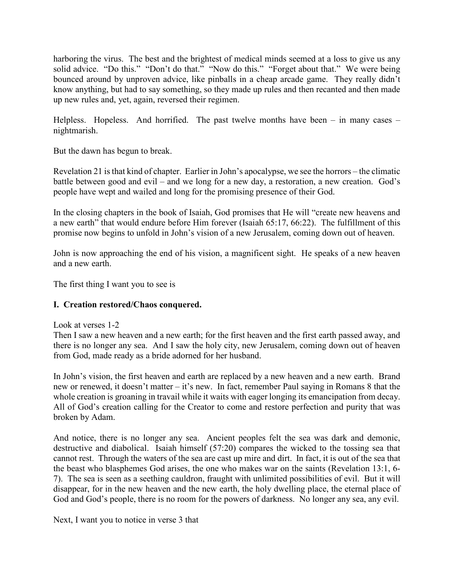harboring the virus. The best and the brightest of medical minds seemed at a loss to give us any solid advice. "Do this." "Don't do that." "Now do this." "Forget about that." We were being bounced around by unproven advice, like pinballs in a cheap arcade game. They really didn't know anything, but had to say something, so they made up rules and then recanted and then made up new rules and, yet, again, reversed their regimen.

Helpless. Hopeless. And horrified. The past twelve months have been  $-$  in many cases  $$ nightmarish.

But the dawn has begun to break.

Revelation 21 is that kind of chapter. Earlier in John's apocalypse, we see the horrors – the climatic battle between good and evil – and we long for a new day, a restoration, a new creation. God's people have wept and wailed and long for the promising presence of their God.

In the closing chapters in the book of Isaiah, God promises that He will "create new heavens and a new earth" that would endure before Him forever (Isaiah 65:17, 66:22). The fulfillment of this promise now begins to unfold in John's vision of a new Jerusalem, coming down out of heaven.

John is now approaching the end of his vision, a magnificent sight. He speaks of a new heaven and a new earth.

The first thing I want you to see is

# **I. Creation restored/Chaos conquered.**

Look at verses 1-2

Then I saw a new heaven and a new earth; for the first heaven and the first earth passed away, and there is no longer any sea. And I saw the holy city, new Jerusalem, coming down out of heaven from God, made ready as a bride adorned for her husband.

In John's vision, the first heaven and earth are replaced by a new heaven and a new earth. Brand new or renewed, it doesn't matter – it's new. In fact, remember Paul saying in Romans 8 that the whole creation is groaning in travail while it waits with eager longing its emancipation from decay. All of God's creation calling for the Creator to come and restore perfection and purity that was broken by Adam.

And notice, there is no longer any sea. Ancient peoples felt the sea was dark and demonic, destructive and diabolical. Isaiah himself (57:20) compares the wicked to the tossing sea that cannot rest. Through the waters of the sea are cast up mire and dirt. In fact, it is out of the sea that the beast who blasphemes God arises, the one who makes war on the saints (Revelation 13:1, 6- 7). The sea is seen as a seething cauldron, fraught with unlimited possibilities of evil. But it will disappear, for in the new heaven and the new earth, the holy dwelling place, the eternal place of God and God's people, there is no room for the powers of darkness. No longer any sea, any evil.

Next, I want you to notice in verse 3 that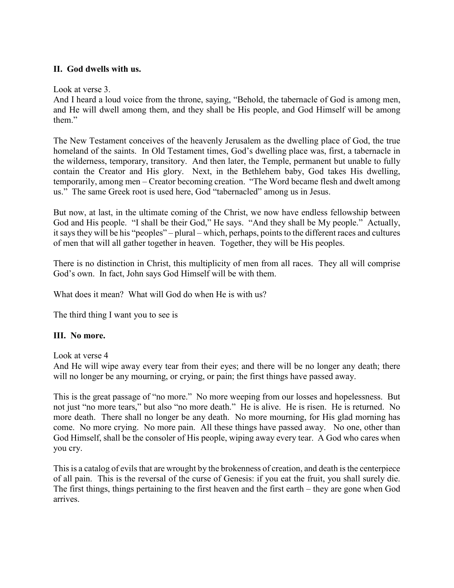### **II. God dwells with us.**

Look at verse 3.

And I heard a loud voice from the throne, saying, "Behold, the tabernacle of God is among men, and He will dwell among them, and they shall be His people, and God Himself will be among them."

The New Testament conceives of the heavenly Jerusalem as the dwelling place of God, the true homeland of the saints. In Old Testament times, God's dwelling place was, first, a tabernacle in the wilderness, temporary, transitory. And then later, the Temple, permanent but unable to fully contain the Creator and His glory. Next, in the Bethlehem baby, God takes His dwelling, temporarily, among men – Creator becoming creation. "The Word became flesh and dwelt among us." The same Greek root is used here, God "tabernacled" among us in Jesus.

But now, at last, in the ultimate coming of the Christ, we now have endless fellowship between God and His people. "I shall be their God," He says. "And they shall be My people." Actually, it says they will be his "peoples" – plural – which, perhaps, points to the different races and cultures of men that will all gather together in heaven. Together, they will be His peoples.

There is no distinction in Christ, this multiplicity of men from all races. They all will comprise God's own. In fact, John says God Himself will be with them.

What does it mean? What will God do when He is with us?

The third thing I want you to see is

# **III. No more.**

Look at verse 4

And He will wipe away every tear from their eyes; and there will be no longer any death; there will no longer be any mourning, or crying, or pain; the first things have passed away.

This is the great passage of "no more." No more weeping from our losses and hopelessness. But not just "no more tears," but also "no more death." He is alive. He is risen. He is returned. No more death. There shall no longer be any death. No more mourning, for His glad morning has come. No more crying. No more pain. All these things have passed away. No one, other than God Himself, shall be the consoler of His people, wiping away every tear. A God who cares when you cry.

This is a catalog of evils that are wrought by the brokenness of creation, and death is the centerpiece of all pain. This is the reversal of the curse of Genesis: if you eat the fruit, you shall surely die. The first things, things pertaining to the first heaven and the first earth – they are gone when God arrives.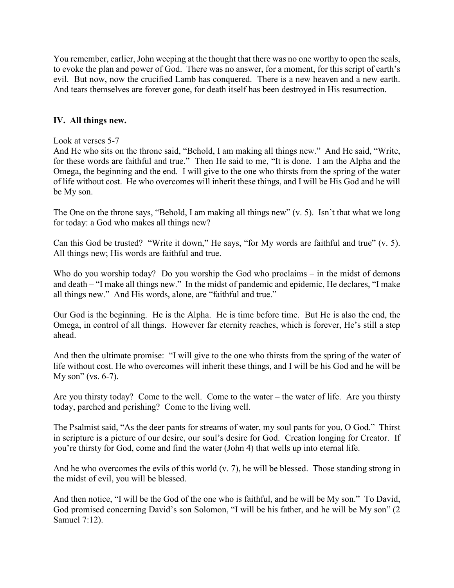You remember, earlier, John weeping at the thought that there was no one worthy to open the seals, to evoke the plan and power of God. There was no answer, for a moment, for this script of earth's evil. But now, now the crucified Lamb has conquered. There is a new heaven and a new earth. And tears themselves are forever gone, for death itself has been destroyed in His resurrection.

#### **IV. All things new.**

#### Look at verses 5-7

And He who sits on the throne said, "Behold, I am making all things new." And He said, "Write, for these words are faithful and true." Then He said to me, "It is done. I am the Alpha and the Omega, the beginning and the end. I will give to the one who thirsts from the spring of the water of life without cost. He who overcomes will inherit these things, and I will be His God and he will be My son.

The One on the throne says, "Behold, I am making all things new" (v. 5). Isn't that what we long for today: a God who makes all things new?

Can this God be trusted? "Write it down," He says, "for My words are faithful and true" (v. 5). All things new; His words are faithful and true.

Who do you worship today? Do you worship the God who proclaims – in the midst of demons and death – "I make all things new." In the midst of pandemic and epidemic, He declares, "I make all things new." And His words, alone, are "faithful and true."

Our God is the beginning. He is the Alpha. He is time before time. But He is also the end, the Omega, in control of all things. However far eternity reaches, which is forever, He's still a step ahead.

And then the ultimate promise: "I will give to the one who thirsts from the spring of the water of life without cost. He who overcomes will inherit these things, and I will be his God and he will be My son" (vs. 6-7).

Are you thirsty today? Come to the well. Come to the water – the water of life. Are you thirsty today, parched and perishing? Come to the living well.

The Psalmist said, "As the deer pants for streams of water, my soul pants for you, O God." Thirst in scripture is a picture of our desire, our soul's desire for God. Creation longing for Creator. If you're thirsty for God, come and find the water (John 4) that wells up into eternal life.

And he who overcomes the evils of this world (v. 7), he will be blessed. Those standing strong in the midst of evil, you will be blessed.

And then notice, "I will be the God of the one who is faithful, and he will be My son." To David, God promised concerning David's son Solomon, "I will be his father, and he will be My son" (2 Samuel 7:12).